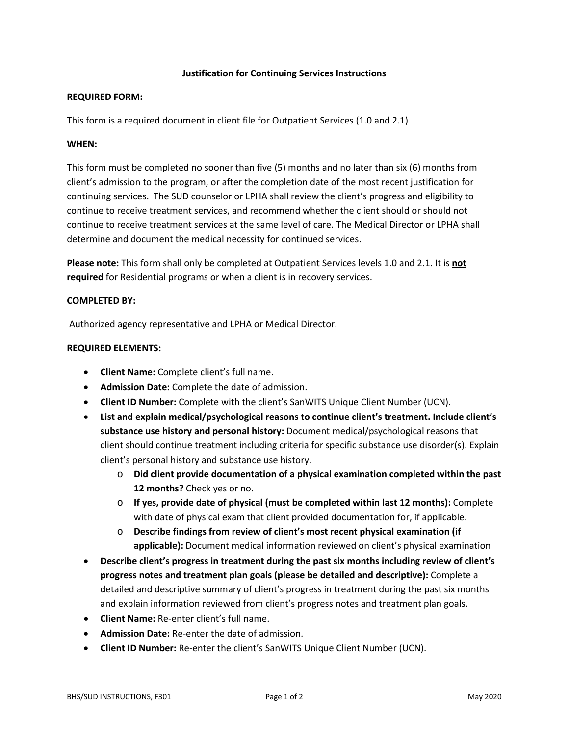### **Justification for Continuing Services Instructions**

#### **REQUIRED FORM:**

This form is a required document in client file for Outpatient Services (1.0 and 2.1)

### **WHEN:**

This form must be completed no sooner than five (5) months and no later than six (6) months from client's admission to the program, or after the completion date of the most recent justification for continuing services. The SUD counselor or LPHA shall review the client's progress and eligibility to continue to receive treatment services, and recommend whether the client should or should not continue to receive treatment services at the same level of care. The Medical Director or LPHA shall determine and document the medical necessity for continued services.

**Please note:** This form shall only be completed at Outpatient Services levels 1.0 and 2.1. It is **not required** for Residential programs or when a client is in recovery services.

## **COMPLETED BY:**

Authorized agency representative and LPHA or Medical Director.

## **REQUIRED ELEMENTS:**

- **Client Name:** Complete client's full name.
- **Admission Date:** Complete the date of admission.
- **Client ID Number:** Complete with the client's SanWITS Unique Client Number (UCN).
- **List and explain medical/psychological reasons to continue client's treatment. Include client's substance use history and personal history:** Document medical/psychological reasons that client should continue treatment including criteria for specific substance use disorder(s). Explain client's personal history and substance use history.
	- o **Did client provide documentation of a physical examination completed within the past 12 months?** Check yes or no.
	- o **If yes, provide date of physical (must be completed within last 12 months):** Complete with date of physical exam that client provided documentation for, if applicable.
	- o **Describe findings from review of client's most recent physical examination (if applicable):** Document medical information reviewed on client's physical examination
- **Describe client's progress in treatment during the past six months including review of client's progress notes and treatment plan goals (please be detailed and descriptive):** Complete a detailed and descriptive summary of client's progress in treatment during the past six months and explain information reviewed from client's progress notes and treatment plan goals.
- **Client Name:** Re-enter client's full name.
- **Admission Date:** Re-enter the date of admission.
- **Client ID Number:** Re-enter the client's SanWITS Unique Client Number (UCN).